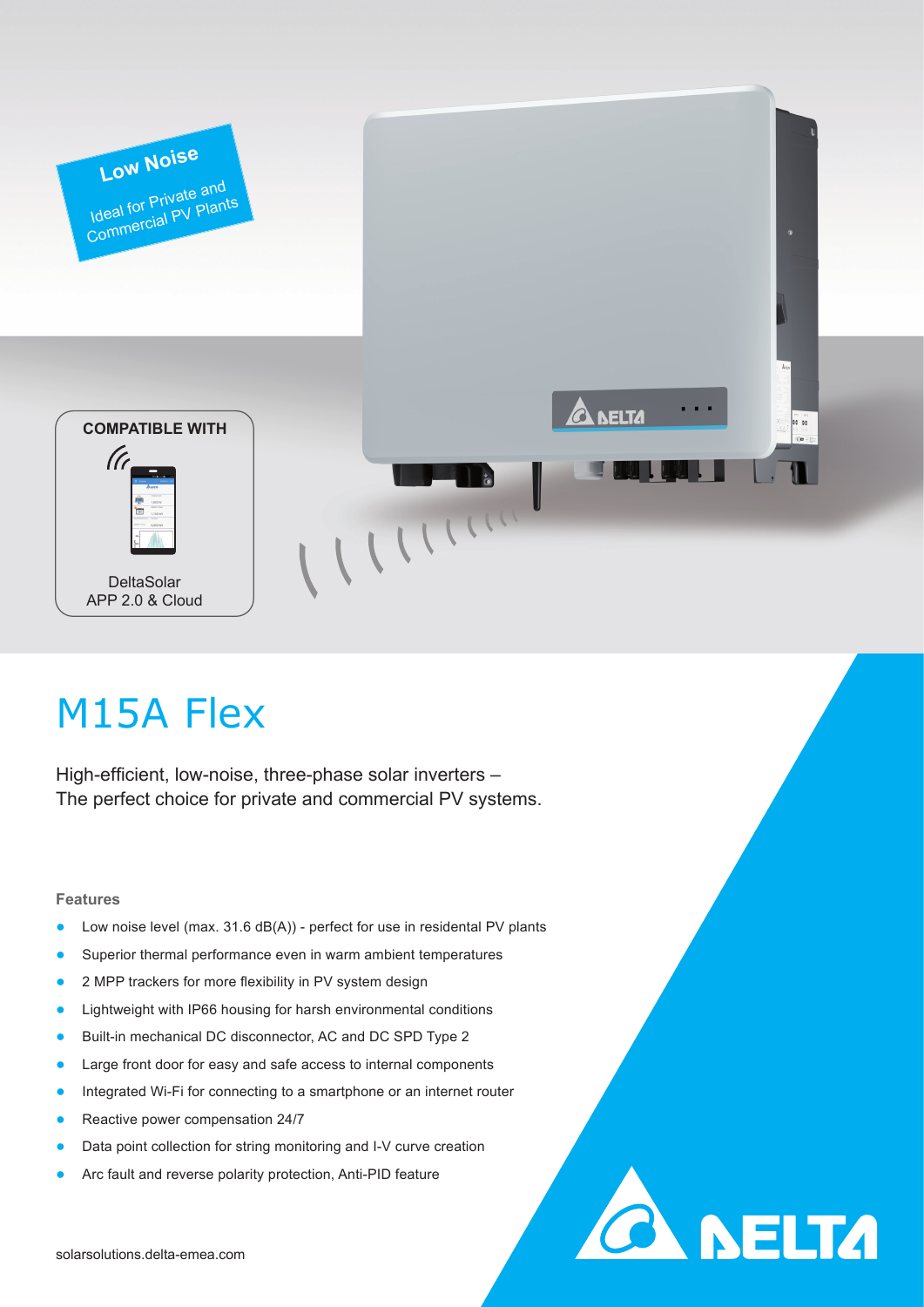

**CA DELTA** 

# M15A Flex

High-efficient, low-noise, three-phase solar inverters – The perfect choice for private and commercial PV systems.

### **Features**

- Low noise level (max.  $31.6$  dB(A)) perfect for use in residental PV plants
- Superior thermal performance even in warm ambient temperatures
- 2 MPP trackers for more flexibility in PV system design
- Lightweight with IP66 housing for harsh environmental conditions
- Built-in mechanical DC disconnector, AC and DC SPD Type 2
- Large front door for easy and safe access to internal components
- Integrated Wi-Fi for connecting to a smartphone or an internet router
- Reactive power compensation 24/7
- Data point collection for string monitoring and I-V curve creation
- Arc fault and reverse polarity protection, Anti-PID feature